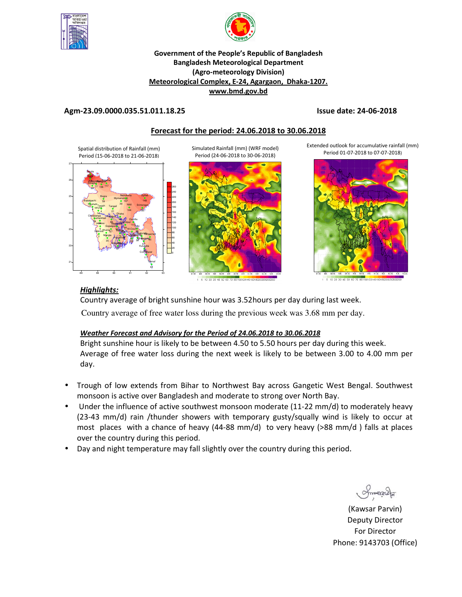



## **Government of the People's Republic of Bangladesh Bangladesh Meteorological Department (Agro-meteorology Division) Meteorological Complex, E-24, Agargaon, Dhaka-1207. www.bmd.gov.bd**

# **Agm-23.09.0000.035.51.011.18.25 Issue date: 24-06-2018**

# **Forecast for the period: 24.06.2018 to 30.06.2018**

Spatial distribution of Rainfall (mm) Period (15-06-2018 to 21-06-2018)



Simulated Rainfall (mm) (WRF model) Period (24-06-2018 to 30-06-2018)



10 20 30 40 50 60 70

Extended outlook for accumulative rainfall (mm) Period 01-07-2018 to 07-07-2018)



801001201401601 5 10 20 30 40 50

# *Highlights:*

Country average of bright sunshine hour was 3.52hours per day during last week. Country average of free water loss during the previous week was 3.68 mm per day.

# *Weather Forecast and Advisory for the Period of 24.06.2018 to 30.06.2018*

Bright sunshine hour is likely to be between 4.50 to 5.50 hours per day during this week. Average of free water loss during the next week is likely to be between 3.00 to 4.00 mm per day.

- Trough of low extends from Bihar to Northwest Bay across Gangetic West Bengal. Southwest monsoon is active over Bangladesh and moderate to strong over North Bay.
- Under the influence of active southwest monsoon moderate (11-22 mm/d) to moderately heavy (23-43 mm/d) rain /thunder showers with temporary gusty/squally wind is likely to occur at most places with a chance of heavy (44-88 mm/d) to very heavy (>88 mm/d ) falls at places over the country during this period.
- Day and night temperature may fall slightly over the country during this period.

(Kawsar Parvin) Deputy Director For Director Phone: 9143703 (Office)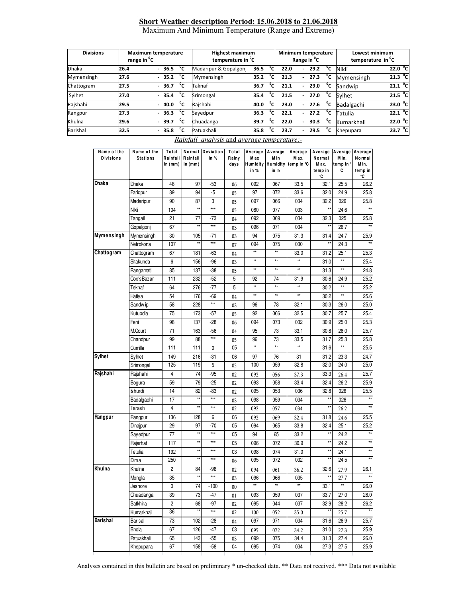# **Short Weather description Period: 15.06.2018 to 21.06.2018** Maximum And Minimum Temperature (Range and Extreme)

| <b>Divisions</b> | range in <sup>o</sup> C | <b>Maximum temperature</b> | <b>Highest maximum</b><br>temperature in <sup>o</sup> C |      |                | Minimum temperature |                          | Range in <sup>o</sup> C |    | Lowest minimum<br>temperature in <sup>o</sup> C |                           |
|------------------|-------------------------|----------------------------|---------------------------------------------------------|------|----------------|---------------------|--------------------------|-------------------------|----|-------------------------------------------------|---------------------------|
| <b>Dhaka</b>     | 26.4                    | °c<br>$-36.5$              | Madaripur & Gopalgonj                                   | 36.5 | $\overline{c}$ | 22.0                | $\overline{\phantom{a}}$ | 29.2                    | °c | Nikli                                           | 22.0 °C                   |
| Mymensingh       | 27.6                    | °c<br>$-35.2$              | Mymensingh                                              | 35.2 | °cı            | 21.3                | $\overline{\phantom{a}}$ | 27.3                    | °c | Mymensingh                                      | $21.3 \text{ }^{\circ}$ C |
| Chattogram       | 27.5                    | °c<br>$-36.7$              | Taknaf                                                  | 36.7 | °cı            | 21.1                | ٠.                       | 29.0                    | °c | Sandwip                                         | 21.1 <sup>o</sup> C       |
| Sylhet           | 27.0                    | °c<br>$-35.4$              | Srimongal                                               | 35.4 | °c.            | 21.5                | $\overline{\phantom{a}}$ | 27.0                    | °c | Svlhet                                          | 21.5 <sup>o</sup> C       |
| Rajshahi         | 29.5                    | °c<br>$-40.0$              | Rajshahi                                                | 40.0 | °c             | 23.0                | $\overline{\phantom{a}}$ | 27.6                    | °c | Badalgachi                                      | 23.0 °C                   |
| Rangpur          | 27.3                    | °c<br>$-36.3$              | Savedpur                                                | 36.3 | י∩°            | 22.1                | ۰                        | 27.2                    | °c | Tatulia                                         | 22.1 <sup>o</sup> C       |
| Khulna           | 29.6                    | °c<br>39.7                 | Chuadanga                                               | 39.7 | °c             | 22.0                | ٠.                       | 30.3                    | °c | Kumarkhali                                      | 22.0 °C                   |
| <b>Barishal</b>  | 32.5                    | °c<br>$-35.8$              | Patuakhali                                              | 35.8 | °c             | 23.7                | ۰                        | 29.5                    | °c | Khepupara                                       | 23.7 $^{\circ}$ C         |

| Name of the<br><b>Divisions</b> | Name of the<br><b>Stations</b> | Total<br>Rainfall<br>in $(mm)$ | Rainfall<br>in $(mm)$ | Normal Deviation<br>in % | Total<br>Rainy<br>days | M ax<br>in %    | Average   Average   Average<br>M in<br>in % | M ax.<br>Humidity Humidity temp in °C | Average<br>Normal<br>M ax.<br>temp in<br>°C | Average Average<br>M in.<br>temp in °<br>С | Normal<br>M in.<br>temp in<br>°C |
|---------------------------------|--------------------------------|--------------------------------|-----------------------|--------------------------|------------------------|-----------------|---------------------------------------------|---------------------------------------|---------------------------------------------|--------------------------------------------|----------------------------------|
| Dhaka                           | Dhaka                          | 46                             | 97                    | -53                      | 06                     | 092             | 067                                         | 33.5                                  | 32.1                                        | 25.5                                       | 26.2                             |
|                                 | Faridpur                       | 89                             | 94                    | -5                       | 05                     | 97              | 072                                         | 33.6                                  | 32.0                                        | 24.9                                       | 25.8                             |
|                                 | Madaripur                      | 90                             | 87                    | 3                        | 05                     | 097             | 066                                         | 034                                   | 32.2                                        | 026                                        | 25.8                             |
|                                 | Nikli                          | 104                            | $\star\star$          | ***                      | 05                     | 080             | 077                                         | 033                                   | $\star\star$                                | 24.6                                       | $\star\star$                     |
|                                 | Tangail                        | 21                             | 77                    | -73                      | 04                     | 092             | 069                                         | 034                                   | 32.3                                        | 025                                        | 25.8                             |
|                                 | Gopalgonj                      | 67                             | $\star\star$          | ***                      | 03                     | 096             | 071                                         | 034                                   | $\star\star$                                | 26.7                                       | $\star\star$                     |
| <b>Mymensingh</b>               | Mymensingh                     | 30                             | 105                   | $-71$                    | 03                     | 94              | 075                                         | 31.3                                  | 31.4                                        | 24.7                                       | 25.9                             |
|                                 | Netrokona                      | 107                            | $\star\star$          | $***$                    | 07                     | 094             | 075                                         | 030                                   | $\star\star$                                | 24.3                                       | $\star\star$                     |
| Chattogram                      | Chattogram                     | 67                             | 181                   | -63                      | 04                     | $^{\star\star}$ | $\star\star$                                | 33.0                                  | 31.2                                        | 25.1                                       | 25.3                             |
|                                 | Sitakunda                      | 6                              | 156                   | $-96$                    | 03                     | $\star\star$    | $\star\star$                                | $\star\star$                          | 31.0                                        | $\star\star$                               | 25.4                             |
|                                 | Rangamati                      | 85                             | 137                   | $-38$                    | 05                     | $\star\star$    | $\star\star$                                | $\star\star$                          | 31.3                                        | **                                         | 24.8                             |
|                                 | Cox'sBazar                     | 111                            | 232                   | $-52$                    | 5                      | 92              | 74                                          | 31.9                                  | 30.6                                        | 24.9                                       | 25.2                             |
|                                 | Teknaf                         | 64                             | 276                   | -77                      | 5                      | $\star\star$    | $\star\star$                                | $\star\star$                          | 30.2                                        | ×                                          | 25.2                             |
|                                 | Hatiya                         | 54                             | 176                   | $-69$                    | 04                     | $^{\star\star}$ | $\star\star$                                | $\star\star$                          | 30.2                                        | $\star\star$                               | 25.6                             |
|                                 | Sandw ip                       | 58                             | 228                   | ***                      | 03                     | 96              | 78                                          | 32.1                                  | 30.3                                        | 26.0                                       | 25.0                             |
|                                 | Kutubdia                       | 75                             | 173                   | -57                      | 05                     | 92              | 066                                         | 32.5                                  | 30.7                                        | 25.7                                       | 25.4                             |
|                                 | Feni                           | 98                             | 137                   | $-28$                    | 06                     | 094             | 073                                         | 032                                   | 30.9                                        | 25.0                                       | 25.3                             |
|                                 | M.Court                        | 71                             | 163                   | $-56$                    | 04                     | 95              | 73                                          | 33.1                                  | 30.8                                        | 26.0                                       | 25.7                             |
|                                 | Chandpur                       | 99                             | 88                    | ***                      | 05                     | 96              | 73                                          | 33.5                                  | 31.7                                        | 25.3                                       | 25.8                             |
|                                 | Cumilla                        | 111                            | 111                   | 0                        | 05                     | $\overline{**}$ | $\overline{**}$                             | $\star\star$                          | 31.6                                        | **                                         | 25.5                             |
| <b>Sylhet</b>                   | Sylhet                         | 149                            | 216                   | $-31$                    | 06                     | 97              | 76                                          | 31                                    | 31.2                                        | 23.3                                       | 24.7                             |
|                                 | Srimongal                      | 125                            | 119                   | 5                        | 05                     | 100             | 059                                         | 32.8                                  | 32.0                                        | 24.0                                       | 25.0                             |
| Rajshahi                        | Rajshahi                       | 4                              | 74                    | -95                      | 02                     | 092             | 056                                         | 37.3                                  | 33.3                                        | 26.4                                       | 25.7                             |
|                                 | Bogura                         | 59                             | 79                    | $-25$                    | 02                     | 093             | 058                                         | 33.4                                  | 32.4                                        | 26.2                                       | 25.9                             |
|                                 | Ishurdi                        | 14                             | 82                    | $-83$                    | 02                     | 095             | 053                                         | 036                                   | 32.8                                        | 026                                        | 25.5                             |
|                                 | Badalgachi                     | 17                             | $\star\star$          | ***                      | 03                     | 098             | 059                                         | 034                                   | $\star\star$                                | 026                                        | $\star\star$                     |
|                                 | Tarash                         | 4                              | **                    | ***                      | 02                     | 092             | 057                                         | 034                                   | $\star\star$                                | 26.2                                       | $\star\star$                     |
| Rangpur                         | Rangpur                        | 136                            | 128                   | 6                        | 06                     | 092             | 069                                         | 32.4                                  | 31.8                                        | 24.6                                       | 25.5                             |
|                                 | Dinajpur                       | 29                             | 97                    | $-70$                    | 05                     | 094             | 065                                         | 33.8                                  | 32.4                                        | 25.1                                       | 25.2                             |
|                                 | Sayedpur                       | 77                             | $\star\star$          | ***                      | 05                     | 94              | 65                                          | 33.2                                  | **                                          | 24.2                                       | $\star\star$                     |
|                                 | Rajarhat                       | 117                            | $\star\star$          | ***                      | 05                     | 096             | 072                                         | 30.9                                  | $\star\star$                                | 24.2                                       | $\star\star$                     |
|                                 | Tetulia                        | 192                            | $\star\star$          | ***                      | 03                     | 098             | 074                                         | 31.0                                  | $\star\star$                                | 24.1                                       | $\star\star$                     |
|                                 | Dimla                          | 250                            | $\star\star$          | ***                      | 06                     | 095             | 072                                         | 032                                   |                                             | 24.5                                       |                                  |
| Khulna                          | Khulna                         | 2                              | 84                    | -98                      | 02                     | 094             | 061                                         | 36.2                                  | 32.6                                        | 27.9                                       | 26.1                             |
|                                 | Mongla                         | 35                             | $\star\star$          | ***                      | 03                     | 096             | 066                                         | 035                                   | xx                                          | 27.7                                       | $\star\star$                     |
|                                 | Jashore                        | 0                              | 74                    | $-100$                   | 00                     | $**$            | $\star\star$                                | $**$                                  | 33.1                                        |                                            | 26.0                             |
|                                 | Chuadanga                      | 39                             | 73                    | -47                      | 01                     | 093             | 059                                         | 037                                   | 33.7                                        | 27.0                                       | 26.0                             |
|                                 | Satkhira                       | 2                              | 68                    | $-97$                    | 02                     | 095             | 044                                         | 037                                   | 32.9                                        | 28.2                                       | 26.2                             |
|                                 | Kumarkhali                     | 36                             | $\star\star$          | $***$                    | 02                     | 100             | 052                                         | 35.0                                  | $\star\star$                                | 25.7                                       | $\star\star$                     |
| <b>Barishal</b>                 | Barisal                        | 73                             | 102                   | $-28$                    | 04                     | 097             | 071                                         | 034                                   | 31.6                                        | 26.9                                       | 25.7                             |
|                                 | Bhola                          | 67                             | 126                   | -47                      | 03                     | 095             | 072                                         | 34.2                                  | 31.0                                        | 27.3                                       | 25.9                             |
|                                 | Patuakhali                     | 65                             | 143                   | -55                      | 03                     | 099             | 075                                         | 34.4                                  | 31.3                                        | 27.4                                       | 26.0                             |
|                                 | Khepupara                      | 67                             | 158                   | $-58$                    | 04                     | 095             | 074                                         | 034                                   | 27.3                                        | 27.5                                       | 25.9                             |

### *Rainfall analysis* and *average temperature:-*

Analyses contained in this bulletin are based on preliminary \* un-checked data. \*\* Data not received. \*\*\* Data not available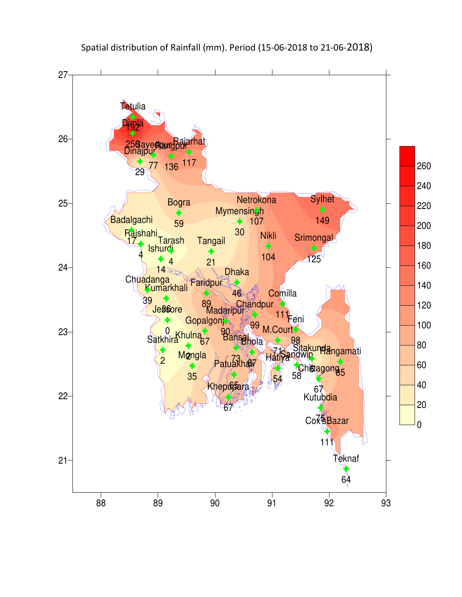

Spatial distribution of Rainfall (mm). Period (15-06-2018 to 21-06-2018)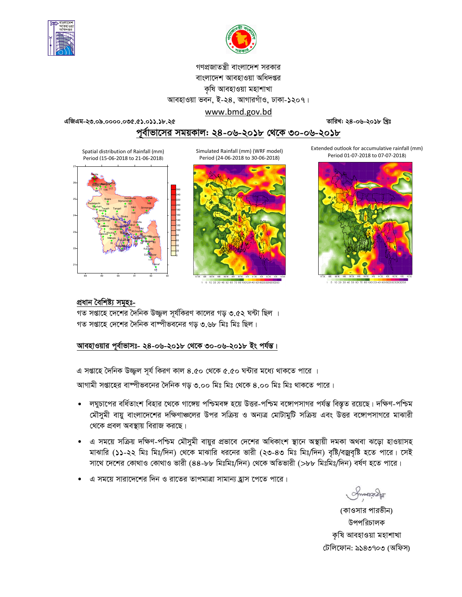



# গণপ্রজাতন্ত্রী বাংলাদেশ সরকার বাংলাদেশ আবহাওয়া অধিদপ্তর কৃষি আবহাওয়া মহাশাখা আবহাওয়া ভবন, ই-২৪, আগারগাঁও, ঢাকা-১২০৭। www.bmd.gov.bd

এজিএম-২৩.০৯.০০০০.০৩৫.৫১.০১১.১৮.২৫

তারিখ: ২৪-০৬-২০১৮ খ্রিঃ

# পূর্বাভাসের সময়কাল: ২৪-০৬-২০১৮ থেকে ৩০-০৬-২০১৮

Spatial distribution of Rainfall (mm) Period (15-06-2018 to 21-06-2018)



Simulated Rainfall (mm) (WRF model) Period (24-06-2018 to 30-06-2018)



00120140

Extended outlook for accumulative rainfall (mm) Period 01-07-2018 to 07-07-2018)



1 5 10 20 30 40 50 60 70 80 100120140160180

# প্ৰধান বৈশিষ্ট্য সমূহঃ-

গত সপ্তাহে দেশের দৈনিক উজ্জ্বল সূর্যকিরণ কালের গড় ৩.৫২ ঘন্টা ছিল । গত সপ্তাহে দেশের দৈনিক বাষ্পীভবনের গড় ৩.৬৮ মিঃ মিঃ ছিল।

# আবহাওয়ার পূর্বাভাসঃ- ২৪-০৬-২০১৮ থেকে ৩০-০৬-২০১৮ ইং পর্যন্ত।

এ সপ্তাহে দৈনিক উজ্জ্বল সূর্য কিরণ কাল ৪.৫০ থেকে ৫.৫০ ঘন্টার মধ্যে থাকতে পারে ।

আগামী সপ্তাহের বাষ্পীভবনের দৈনিক গড় ৩.০০ মিঃ মিঃ থেকে ৪.০০ মিঃ মিঃ থাকতে পারে।

- লঘুচাপের বর্ধিতাংশ বিহার থেকে গাঙ্গেয় পশ্চিমবঙ্গ হয়ে উত্তর-পশ্চিম বঙ্গোপসাগর পর্যন্ত বিস্তৃত রয়েছে। দক্ষিণ-পশ্চিম মৌসুমী বায়ু বাংলাদেশের দক্ষিণাঞ্চলের উপর সক্রিয় ও অন্যত্র মোটামুটি সক্রিয় এবং উত্তর বঙ্গোপসাগরে মাঝারী থেকে প্রবল অবস্থায় বিরাজ করছে।
- এ সময়ে সক্রিয় দক্ষিণ-পশ্চিম মৌসুমী বায়ুর প্রভাবে দেশের অধিকাংশ স্থানে অস্থায়ী দমকা অথবা ঝড়ো হাওয়াসহ মাঝারি (১১-২২ মিঃ মিঃ/দিন) থেকে মাঝারি ধরনের ভারী (২৩-৪৩ মিঃ মিঃ/দিন) বৃষ্টি/বজ্রবৃষ্টি হতে পারে। সেই সাথে দেশের কোথাও কোথাও ভারী (৪৪-৮৮ মিঃমিঃ/দিন) থেকে অতিভারী (>৮৮ মিঃমিঃ/দিন) বর্ষণ হতে পারে।
- এ সময়ে সারাদেশের দিন ও রাতের তাপমাত্রা সামান্য হ্রাস পেতে পারে।

**Amonach** 

(কাওসার পারভীন) উপপরিচালক কৃষি আবহাওয়া মহাশাখা টেলিফোন: ৯১৪৩৭০৩ (অফিস)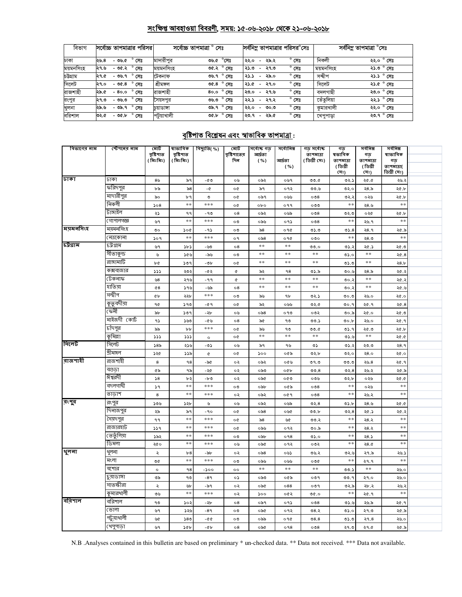# সংক্ষিপ্ত আবহাওয়া বিবরণী, সময়: ১৫-০৬-২০১৮ থেকে ২১-০৬-২০১৮

| বিভাগ     |      |         | সর্বোচ্চ তাপমাত্রার পরিসর | সৰ্বোচ্চ তাপমাত্ৰা ° সেঃ |                     |      |                          |      | সর্বনিম তাপমাত্রার পরিসর <sup>8</sup> সেঃ |           | সর্বনিম্ন তাপমাত্রা °সেঃ |
|-----------|------|---------|---------------------------|--------------------------|---------------------|------|--------------------------|------|-------------------------------------------|-----------|--------------------------|
| ঢাকা      | ২৬.৪ |         | - ৩৬.৫ ° সেঃ              | মাদারীপর                 | ৩৬.৫ °সেঃ           | ২২.০ | $\overline{a}$           | ২৯.২ | $^{\circ}$ সেঃ                            | নিকলী     | ২২.০ ° সেঃ               |
| ময়মনসিংহ | ২৭.৬ |         | $-$ ৩৫.২ $^{\circ}$ সেঃ   | ময়মনসিংহ                | ৩৫.২ ° সেঃ          | ৩.৫২ | $\overline{\phantom{a}}$ | ২৭.৩ | $^{\circ}$ সেঃ                            | ময়মনসিংহ | ২১.৩ ° সেঃ               |
| চউগ্ৰাম   | ২৭.৫ | -৩৬.৭   | $^{\circ}$ সেঃ            | টেকনাফ                   | ৩৬.৭ ° সেঃ          | 3.2  | $\sim$                   | ২৯.০ | $^{\circ}$ সেঃ                            | সন্দ্বীপ  | ২১.১ ° সেঃ               |
| সিলেট     | ২৭.০ | - ৩৫.৪  | $^{\circ}$ সেঃ            | শ্ৰীমঙ্গল                | ৩৫.৪ $^{\circ}$ সেঃ | ১.৫  | $\sim$                   | ২৭.০ | $^{\circ}$ সেঃ                            | সিলেট     | $\overline{32.6}$ ° সেঃ  |
| রাজশাহী   | ২৯.৫ | - 80.0  | $^{\circ}$ সেঃ            | রাজশাহী                  | 80.0 ° గ్యా         | ২৩.০ | $\overline{\phantom{0}}$ | ২৭.৬ | $^{\circ}$ সেঃ                            | বদলগাছী   | ২৩.০ $^{\circ}$ সেঃ      |
| রংপুর     | ২৭.৩ | - ৩৬.৩  | $^{\circ}$ সেঃ            | সৈয়দপুর                 | ৩৬.৩ ° সেঃ          | ২২.১ | $\overline{\phantom{0}}$ | ২৭.২ | $^{\circ}$ সেঃ                            | তেঁতলিয়া | ২২.১ ° সেঃ               |
| খুলনা     | ২৯.৬ |         | <u>- ৩৯.৭</u> ° সেঃ       | চয়াডাঙ্গা               | <b>৩৯.৭</b> ° সেঃ   | ২২.০ | $\sim$                   | ৩০.৩ | $^{\circ}$ সেঃ                            | কমারখালী  | ২২.০ ° সেঃ               |
| বরিশাল    | ৩২.৫ | $-96.5$ | $^{\circ}$ সেঃ            | পটুয়াখালী               | ৩৫.৮ ° সেঃ          | ২৩.৭ | $\sim$                   | ২৯.৫ | $^{\circ}$ সেঃ                            | খেপুপাড়া | ২৩.৭ $^{\circ}$ সেঃ      |

# <u> বৃষ্টিপাত বিশ্লেষন এবং স্বাভাবিক তাপমাত্ৰা :</u>

| বিভাগের নাম      | স্টেশনের নাম | মোট<br>বৃষ্টিপাত<br>(মিঃমিঃ) | ষাভাবিক<br>বৃষ্টিপাত<br>(মিঃমিঃ) | বিছ্যুতি $(\%)$ | মোট<br>বৃষ্টিশাতের<br>দিন | সৰ্বোচ্চ গড<br>আৰ্দ্ৰতা<br>( %) | সর্বোনিম্ন<br>আৰ্দ্ৰতা<br>( %) | গড সৰ্বোচ্চ<br>তাপমাত্রা<br>( ডিগ্ৰী সেঃ) | গড<br>ষভাবিক<br>তাপমাত্রা<br>(ডিগ্ৰী<br>(সঃ) | সৰ্বনিম্ন<br>গড<br>তাপমাত্রা<br>(ডিগ্ৰী<br>(সঃ) | সৰ্বনিম্ন<br>ষাভাবিক<br>গড়<br>তাপমাত্রা(<br>ডিগ্ৰী সেঃ) |  |
|------------------|--------------|------------------------------|----------------------------------|-----------------|---------------------------|---------------------------------|--------------------------------|-------------------------------------------|----------------------------------------------|-------------------------------------------------|----------------------------------------------------------|--|
| ঢাকা             | ঢাকা         | 8 <sub>0</sub>               | ৯৭                               | -৫৩             | ০৬                        | ০৯২                             | ০৬৭                            | 0.0C                                      | ৩২.১                                         | ২৫.৫                                            | ২৬.২                                                     |  |
|                  | করিদপুর      | ৮৯                           | ৯৪                               | - $\sigma$      | o¢                        | ৯৭                              | ०१२                            | 9.9                                       | ৩২.০                                         | ২ $8.5$                                         | ২৫.৮                                                     |  |
|                  | মাদারীপুর    | ৯০                           | ৮৭                               | $\mathcal{O}$   | o¢                        | ০৯৭                             | ০৬৬                            | $\circ$                                   | ৩২.২                                         | ০২৬                                             | ২৫.৮                                                     |  |
|                  | নিকলী        | 508                          | $\ast$ $\ast$                    | ***             | o¢                        | obo                             | ०११                            | ೦೦೦                                       | $\ast\ast$                                   | ২ $8.8$                                         | $* *$                                                    |  |
|                  | টাঙ্গাইল     | ২১                           | ۹۹                               | - 90            | $\circ$ 8                 | ০৯২                             | ০৬৯                            | $\circ$                                   | ৩২.৩                                         | ০২৫                                             | ২৫.৮                                                     |  |
|                  | গোপালগজ্ঞ    | ৬৭                           | $**$                             | ***             | ০৩                        | ০৯৬                             | ०१১                            | $\circ$                                   | $**$                                         | ২৬. ৭                                           | **                                                       |  |
| ময়মনসিংহ        | ময়মনসিংহ    | ৩০                           | ১০৫                              | -95             | ০৩                        | ৯৪                              | ०१৫                            | ৩১.৩                                      | 05.8                                         | २8.१                                            | ২৫.৯                                                     |  |
|                  | নেত্ৰকোনা    | 509                          | $\ast$ $\ast$                    | ***             | o٩                        | $\circ$ ৯8                      | ०१৫                            | $\circ \circ \circ$                       | $\pm$ $\pm$                                  | ২৪.৩                                            | $\ast$ $\ast$                                            |  |
| চট্টগ্রাম        | চট্ৰগ্ৰাম    | ৬৭                           | ১৮১                              | -৬৩             | 08                        | $**$                            | $**$                           | 0.0                                       | ৩১.২                                         | ২৫.১                                            | ২৫.৩                                                     |  |
|                  | সীতাকুন্ড    | ৬                            | ১৫৬                              | -৯৬             | ০৩                        | $* *$                           | $**$                           | **                                        | ৩১.০                                         | **                                              | 20.8                                                     |  |
|                  | রাঙ্গামাটি   | ৮৫                           | 509                              | -06             | o¢                        | **                              | $**$                           | $**$                                      | ৩১.৩                                         | $\ast\ast$                                      | 28.5                                                     |  |
|                  | কক্সবাজার    | ددد                          | ২৩২                              | -02             | ¢                         | ৯২                              | ۹8                             | ৩১.৯                                      | ৩০.৬                                         | ২ $8.5$                                         | ২৫.২                                                     |  |
|                  | টেকনাফ       | ৬৪                           | ২৭৬                              | $-99$           | $\pmb{\mathfrak{C}}$      | $**$                            | $**$                           | $\ast$ $\ast$                             | ৩০.২                                         | $\ast$ $\ast$                                   | ২৫.২                                                     |  |
|                  | হাতিয়া      | $Q$ 8                        | ১৭৬                              | -৬৯             | ο8                        | **                              | $\ast$ $\ast$                  | $**$                                      | ৩০.২                                         | $**$                                            | ২৫.৬                                                     |  |
|                  | সন্দ্বীপ     | <b>Gb</b>                    | ২২৮                              | $***$           | ০৩                        | ৯৬                              | ٩b                             | ৩২.১                                      | 0.00                                         | ২৬.০                                            | ২৫.০                                                     |  |
|                  | কুতুবদীয়া   | 90                           | 590                              | -৫ ዓ            | o¢                        | ৯২                              | ০৬৬                            | ৩২.৫                                      | ৩০.৭                                         | ২৫.৭                                            | ২৫.৪                                                     |  |
|                  | ফেনী         | ৯৮                           | 509                              | -২৮             | ০৬                        | ০৯৪                             | ০৭৩                            | ০৩২                                       | ৩০.৯                                         | ২৫.০                                            | ২৫.৩                                                     |  |
|                  | মাইজদী কোর্ট | ۹১                           | ১৬৩                              | -৫৬             | $\circ$ 8                 | ৯৫                              | ৭৩                             | 00.5                                      | 00.b                                         | ২৬.০                                            | ২৫.৭                                                     |  |
|                  | চাঁদপুর      | ৯৯                           | ${\tt b} {\tt b}$                | ***             | o¢                        | ৯৬                              | ৭৩                             | 0.0                                       | ৩১.৭                                         | ২৫.৩                                            | ২৫.৮                                                     |  |
|                  | কুমিল্লা     | ددد                          | ددد                              | $\circ$         | o¢                        | $**$                            | $\ast$ $\ast$                  | $\ast$ $\ast$                             | ৩১.৬                                         | $**$                                            | ২৫.৫                                                     |  |
| সিলেট            | সিলেট        | ১৪৯                          | ২১৬                              | ده-             | ০৬                        | ৯৭                              | ৭৬                             | ৩১                                        | ৩১.২                                         | ২৩.৩                                            | २8.१                                                     |  |
|                  | শ্ৰীমঙ্গল    | ১২৫                          | ১১৯                              | ¢               | o¢                        | ১০০                             | ০৫৯                            | ৩২.৮                                      | ৩২.০                                         | ২8.०                                            | ২৫.০                                                     |  |
| বাজশা <b>ই</b> । | রাজশাহী      | 8                            | 98                               | -৯৫             | ০২                        | ০৯২                             | ০৫৬                            | 09.0                                      | ৩৩.৩                                         | ২৬.৪                                            | ২৫.৭                                                     |  |
|                  | বগুডা        | ৫৯                           | ৭৯                               | -২৫             | ०२                        | ০৯৩                             | oQb                            | 00.8                                      | ৩২. $8$                                      | ২৬.২                                            | ২৫.৯                                                     |  |
|                  | ঈশ্বরদী      | 58                           | ৮২                               | -৮৩             | ०२                        | ০৯৫                             | ০৫৩                            | ০৩৬                                       | ৩২.৮                                         | ০২৬                                             | ২৫.৫                                                     |  |
|                  | বদলগাষী      | 59                           | $\ast$ $\ast$                    | ***             | ০৩                        | ০৯৮                             | ০৫৯                            | $\circ$                                   | $**$                                         | ০২৬                                             | $\ast\ast$                                               |  |
|                  | তাডাশ        | 8                            | $**$                             | ***             | ०२                        | ০৯২                             | ०৫৭                            | $\circ$                                   | $**$                                         | ২৬.২                                            | **                                                       |  |
| রংপুর            | রংপুর        | ১৩৬                          | ১২৮                              | ৬               | ০৬                        | ০৯২                             | ০৬৯                            | 02.8                                      | ৩১.৮                                         | ২৪.৬                                            | 20.0                                                     |  |
|                  | দিনাজপুর     | ২৯                           | ৯৭                               | -90             | o¢                        | ০৯৪                             | ০৬৫                            | 00.b                                      | ৩২. $8$                                      | ২৫.১                                            | ২৫.২                                                     |  |
|                  | সৈয়দপুর     | ۹۹                           | $\pm$ $\pm$                      | $* * *$         | o¢                        | ৯৪                              | ৬৫                             | ৩৩.২                                      | $\ast$ $\ast$                                | ২৪.২                                            | $\ast$ $\ast$                                            |  |
|                  | রাজারহাট     | 339                          | $\ast$ $\ast$                    | $***$           | o¢                        | ০৯৬                             | ०१२                            | ৩০.৯                                      | $\ast$ $\ast$                                | ২৪.২                                            | $* *$                                                    |  |
|                  | ভেতুলিয়া    | ১৯২                          | $\ast$ $\ast$                    | ***             | ০৩                        | ০৯৮                             | 098                            | ৩১.০                                      | $\ast$ $\ast$                                | ২৪.১                                            | $* *$                                                    |  |
|                  | ডিমলা        | ২৫০                          | $\ast$ $\ast$                    | ***             | ০৬                        | ০৯৫                             | ०१२                            | ০৩২                                       | $\ast$ $\ast$                                | 28.0                                            | $\ast$                                                   |  |
| থুলনা            | থুলনা        | ২                            | b8                               | -96             | ০২                        | ০৯৪                             | ০৬১                            | ৩৬.২                                      | ৩২.৬                                         | ২৭.৯                                            | ২৬.১                                                     |  |
|                  | মংলা         | ৩৫                           | $\ast$ $\ast$                    | ***             | $\circ \circ$             | ০৯৬                             | ০৬৬                            | ০৩৫                                       | $\pm$ $\pm$                                  | २१.१                                            | $\pm$ $\pm$                                              |  |
|                  | যশোর         | $\circ$                      | 98                               | -১০০            | $\circ$                   | $**$                            | $\ast$ $\ast$                  | $\ast$ $\ast$                             | ৩৩.১                                         | $*\ast$                                         | ২৬.০                                                     |  |
|                  | চুয়াডাঙ্গা  | ৩৯                           | ৭৩                               | $-89$           | ০১                        | ০৯৩                             | ০৫৯                            | ०७१                                       | 00.9                                         | ২৭.০                                            | ২৬.০                                                     |  |
|                  | সাতক্ষীরা    | ২                            | ৬৮<br>$\pm$ $\pm$                | -৯৭             | ০২                        | ০৯৫                             | 088                            | 009                                       | ৩২.৯<br>$\pm$ $\pm$                          | ২৮.২                                            | ২৬.২<br>$\ast$ $\ast$                                    |  |
| ববিশাল           | কুমারখালী    | ৩৬                           |                                  | $***$           | ০২                        | 500                             | ০৫২                            | 0.90                                      |                                              | ২৫.৭                                            |                                                          |  |
|                  | বরিশাল       | ৭৩                           | ১০২                              | -২৮             | $\circ 8$                 | ০৯৭                             | ०१১                            | $\circ$                                   | 0.6                                          | ২৬.৯                                            | ২৫.৭                                                     |  |
|                  | ভোলা         | ৬৭                           | ১২৬                              | $-89$           | ০৩                        | ০৯৫                             | ०१२                            | ৩৪.২                                      | ৩১.০                                         | ২৭.৩                                            | ২৫.৯                                                     |  |
|                  | পটুয়াথালী   | ৬৫                           | ১৪৩                              | -৫৫             | ০৩                        | ০৯৯                             | ०१৫                            | 08.8                                      | ৩১.৩                                         | 29.8                                            | ২৬.০                                                     |  |
|                  | খেপুপাড়া    | ৬৭                           | ১৫৮                              | -৫৮             | $\circ$ 8                 | ০৯৫                             | 098                            | $\circ$                                   | ২৭.৩                                         | ২৭.৫                                            | ২৫.৯                                                     |  |

N.B .Analyses contained in this bulletin are based on preliminary \* un-checked data. \*\* Data not received. \*\*\* Data not available.